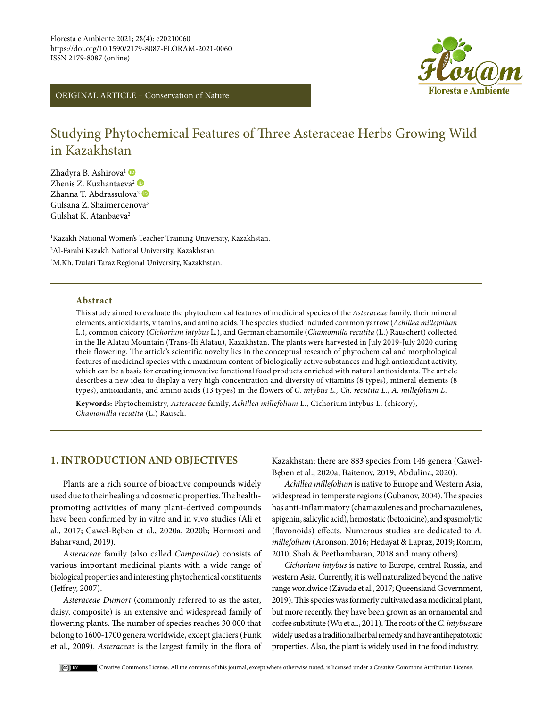

ORIGINAL ARTICLE – Conservation of Nature

# Studying Phytochemical Features of Three Asteraceae Herbs Growing Wild in Kazakhstan

Zhadyra B. Ashirova<sup>1</sup> Zhenis Z. Kuzhantaeva<sup>2</sup> Zhanna T. Abdrassulova<sup>2</sup> Gulsana Z. Shaimerdenova3 Gulshat K. Atanbaeva<sup>2</sup>

1 Kazakh National Women's Teacher Training University, Kazakhstan. 2 Al-Farabi Kazakh National University, Kazakhstan. 3 M.Kh. Dulati Taraz Regional University, Kazakhstan.

# **Abstract**

This study aimed to evaluate the phytochemical features of medicinal species of the *Asteraceae* family, their mineral elements, antioxidants, vitamins, and amino acids. The species studied included common yarrow (*Achillea millefolium*  L.), common chicory (*Cichorium intybus* L.), and German chamomile (*Chamomilla recutita* (L.) Rauschert) collected in the Ile Alatau Mountain (Trans-Ili Alatau), Kazakhstan. The plants were harvested in July 2019-July 2020 during their flowering. The article's scientific novelty lies in the conceptual research of phytochemical and morphological features of medicinal species with a maximum content of biologically active substances and high antioxidant activity, which can be a basis for creating innovative functional food products enriched with natural antioxidants. The article describes a new idea to display a very high concentration and diversity of vitamins (8 types), mineral elements (8 types), antioxidants, and amino acids (13 types) in the flowers of *C. intybus L., Ch. recutita L., A. millefolium L*.

**Keywords:** Phytochemistry, *Asteraceae* family, *Achillea millefolium* L., Cichorium intybus L. (chicory), *Chamomilla recutita* (L.) Rausch.

# **1. INTRODUCTION AND OBJECTIVES**

Plants are a rich source of bioactive compounds widely used due to their healing and cosmetic properties. The healthpromoting activities of many plant-derived compounds have been confirmed by in vitro and in vivo studies (Ali et al., 2017; Gaweł-Bęben et al., 2020a, 2020b; Hormozi and Baharvand, 2019).

*Asteraceae* family (also called *Compositae*) consists of various important medicinal plants with a wide range of biological properties and interesting phytochemical constituents (Jeffrey, 2007).

*Asteraceae Dumort* (commonly referred to as the aster, daisy, composite) is an extensive and widespread family of flowering plants. The number of species reaches 30 000 that belong to 1600-1700 genera worldwide, except glaciers (Funk et al., 2009). *Asteraceae* is the largest family in the flora of

Kazakhstan; there are 883 species from 146 genera (Gaweł-Bęben et al., 2020a; Baitenov, 2019; Abdulina, 2020).

*Achillea millefolium* is native to Europe and Western Asia, widespread in temperate regions (Gubanov, 2004). The species has anti-inflammatory (chamazulenes and prochamazulenes, apigenin, salicylic acid), hemostatic (betonicine), and spasmolytic (flavonoids) effects. Numerous studies are dedicated to *A. millefolium* (Aronson, 2016; Hedayat & Lapraz, 2019; Romm, 2010; Shah & Peethambaran, 2018 and many others)*.* 

*Cichorium intybus* is native to Europe, central Russia, and western Asia. Currently, it is well naturalized beyond the native range worldwide (Závada et al., 2017; Queensland Government, 2019). This species was formerly cultivated as a medicinal plant, but more recently, they have been grown as an ornamental and coffee substitute (Wu et al., 2011). The roots of the *C. intybus* are widely used as a traditional herbal remedy and have antihepatotoxic properties. Also, the plant is widely used in the food industry.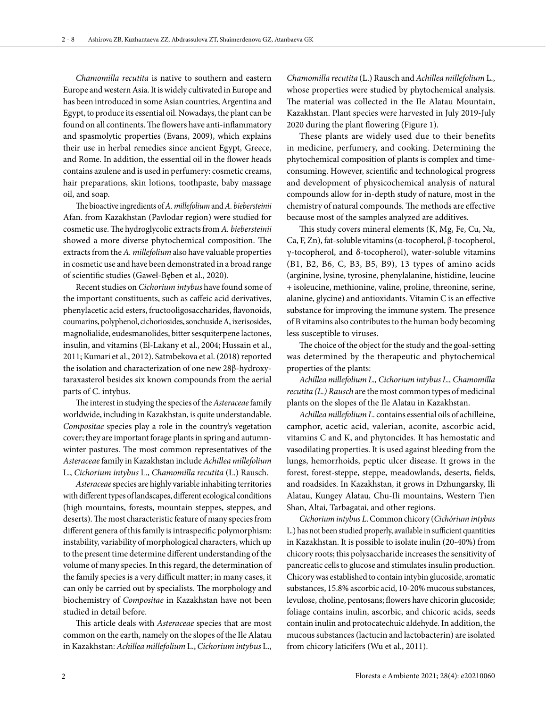*Chamomilla recutita* is native to southern and eastern Europe and western Asia. It is widely cultivated in Europe and has been introduced in some Asian countries, Argentina and Egypt, to produce its essential oil. Nowadays, the plant can be found on all continents. The flowers have anti-inflammatory and spasmolytic properties (Evans, 2009), which explains their use in herbal remedies since ancient Egypt, Greece, and Rome. In addition, the essential oil in the flower heads contains azulene and is used in perfumery: cosmetic creams, hair preparations, skin lotions, toothpaste, baby massage oil, and soap.

The bioactive ingredients of *A. millefolium* and *A. biebersteinii* Afan. from Kazakhstan (Pavlodar region) were studied for cosmetic use. The hydroglycolic extracts from *A. biebersteinii* showed a more diverse phytochemical composition. The extracts from the *A. millefolium* also have valuable properties in cosmetic use and have been demonstrated in a broad range of scientific studies (Gaweł-Bęben et al., 2020).

Recent studies on *Cichorium intybus* have found some of the important constituents, such as caffeic acid derivatives, phenylacetic acid esters, fructooligosaccharides, flavonoids, coumarins, polyphenol, cichoriosides, sonchuside A, ixerisosides, magnolialide, eudesmanolides, bitter sesquiterpene lactones, insulin, and vitamins (El-Lakany et al., 2004; Hussain et al., 2011; Kumari et al., 2012). Satmbekova et al. (2018) reported the isolation and characterization of one new 28β-hydroxytaraxasterol besides six known compounds from the aerial parts of C. intybus.

The interest in studying the species of the *Asteraceae* family worldwide, including in Kazakhstan, is quite understandable. *Compositae* species play a role in the country's vegetation cover; they are important forage plants in spring and autumnwinter pastures. The most common representatives of the *Asteraceae* family in Kazakhstan include *Achillea millefolium*  L., *Cichorium intybus* L., *Chamomilla recutita* (L.) Rausch.

*Asteraceae* species are highly variable inhabiting territories with different types of landscapes, different ecological conditions (high mountains, forests, mountain steppes, steppes, and deserts). The most characteristic feature of many species from different genera of this family is intraspecific polymorphism: instability, variability of morphological characters, which up to the present time determine different understanding of the volume of many species. In this regard, the determination of the family species is a very difficult matter; in many cases, it can only be carried out by specialists. The morphology and biochemistry of *Compositae* in Kazakhstan have not been studied in detail before.

This article deals with *Asteraceae* species that are most common on the earth, namely on the slopes of the Ile Alatau in Kazakhstan: *Achillea millefolium* L., *Cichorium intybus* L.,

*Chamomilla recutita* (L.) Rausch and *Achillea millefolium* L., whose properties were studied by phytochemical analysis. The material was collected in the Ile Alatau Mountain, Kazakhstan. Plant species were harvested in July 2019-July 2020 during the plant flowering (Figure 1).

These plants are widely used due to their benefits in medicine, perfumery, and cooking. Determining the phytochemical composition of plants is complex and timeconsuming. However, scientific and technological progress and development of physicochemical analysis of natural compounds allow for in-depth study of nature, most in the chemistry of natural compounds. The methods are effective because most of the samples analyzed are additives.

This study covers mineral elements (K, Mg, Fe, Cu, Na, Ca, F, Zn), fat-soluble vitamins (α-tocopherol, β-tocopherol, γ-tocopherol, and δ-tocopherol), water-soluble vitamins (B1, B2, B6, C, B3, B5, B9), 13 types of amino acids (arginine, lysine, tyrosine, phenylalanine, histidine, leucine + isoleucine, methionine, valine, proline, threonine, serine, alanine, glycine) and antioxidants. Vitamin C is an effective substance for improving the immune system. The presence of B vitamins also contributes to the human body becoming less susceptible to viruses.

The choice of the object for the study and the goal-setting was determined by the therapeutic and phytochemical properties of the plants:

*Achillea millefolium L., Cichorium intybus L., Chamomilla recutita (L.) Rausch* are the most common types of medicinal plants on the slopes of the Ile Alatau in Kazakhstan.

*Achillea millefolium L*. contains essential oils of achilleine, camphor, acetic acid, valerian, aconite, ascorbic acid, vitamins C and K, and phytoncides. It has hemostatic and vasodilating properties. It is used against bleeding from the lungs, hemorrhoids, peptic ulcer disease. It grows in the forest, forest-steppe, steppe, meadowlands, deserts, fields, and roadsides. In Kazakhstan, it grows in Dzhungarsky, Ili Alatau, Kungey Alatau, Chu-Ili mountains, Western Tien Shan, Altai, Tarbagatai, and other regions.

*Cichorium intybus L*. Common chicory (*Cichórium intybus*  L.) has not been studied properly, available in sufficient quantities in Kazakhstan. It is possible to isolate inulin (20-40%) from chicory roots; this polysaccharide increases the sensitivity of pancreatic cells to glucose and stimulates insulin production. Chicory was established to contain intybin glucoside, aromatic substances, 15.8% ascorbic acid, 10-20% mucous substances, levulose, choline, pentosans; flowers have chicorin glucoside; foliage contains inulin, ascorbic, and chicoric acids, seeds contain inulin and protocatechuic aldehyde. In addition, the mucous substances (lactucin and lactobacterin) are isolated from chicory laticifers (Wu et al., 2011).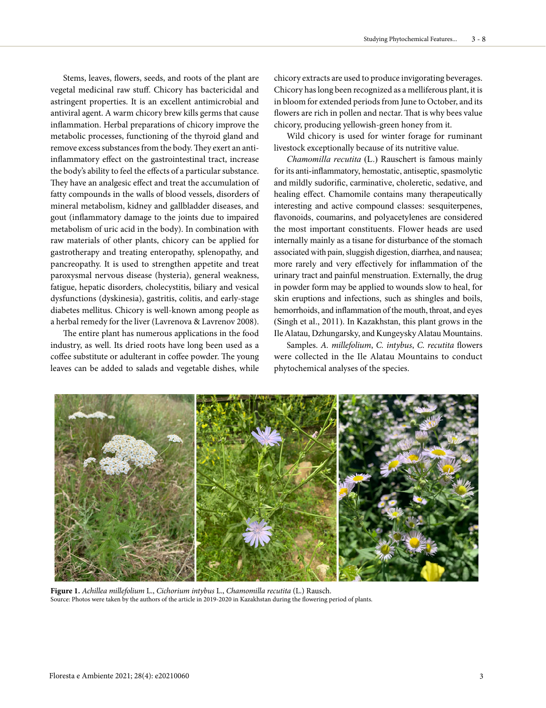Stems, leaves, flowers, seeds, and roots of the plant are vegetal medicinal raw stuff. Chicory has bactericidal and astringent properties. It is an excellent antimicrobial and antiviral agent. A warm chicory brew kills germs that cause inflammation. Herbal preparations of chicory improve the metabolic processes, functioning of the thyroid gland and remove excess substances from the body. They exert an antiinflammatory effect on the gastrointestinal tract, increase the body's ability to feel the effects of a particular substance. They have an analgesic effect and treat the accumulation of fatty compounds in the walls of blood vessels, disorders of mineral metabolism, kidney and gallbladder diseases, and gout (inflammatory damage to the joints due to impaired metabolism of uric acid in the body). In combination with raw materials of other plants, chicory can be applied for gastrotherapy and treating enteropathy, splenopathy, and pancreopathy. It is used to strengthen appetite and treat paroxysmal nervous disease (hysteria), general weakness, fatigue, hepatic disorders, cholecystitis, biliary and vesical dysfunctions (dyskinesia), gastritis, colitis, and early-stage diabetes mellitus. Chicory is well-known among people as a herbal remedy for the liver (Lavrenova & Lavrenov 2008).

The entire plant has numerous applications in the food industry, as well. Its dried roots have long been used as a coffee substitute or adulterant in coffee powder. The young leaves can be added to salads and vegetable dishes, while

chicory extracts are used to produce invigorating beverages. Chicory has long been recognized as a melliferous plant, it is in bloom for extended periods from June to October, and its flowers are rich in pollen and nectar. That is why bees value chicory, producing yellowish-green honey from it.

Wild chicory is used for winter forage for ruminant livestock exceptionally because of its nutritive value.

*Chamomilla recutita* (L.) Rauschert is famous mainly for its anti-inflammatory, hemostatic, antiseptic, spasmolytic and mildly sudorific, carminative, choleretic, sedative, and healing effect. Chamomile contains many therapeutically interesting and active compound classes: sesquiterpenes, flavonoids, coumarins, and polyacetylenes are considered the most important constituents. Flower heads are used internally mainly as a tisane for disturbance of the stomach associated with pain, sluggish digestion, diarrhea, and nausea; more rarely and very effectively for inflammation of the urinary tract and painful menstruation. Externally, the drug in powder form may be applied to wounds slow to heal, for skin eruptions and infections, such as shingles and boils, hemorrhoids, and inflammation of the mouth, throat, and eyes (Singh et al., 2011). In Kazakhstan, this plant grows in the Ile Alatau, Dzhungarsky, and Kungeysky Alatau Mountains.

Samples. *A. millefolium*, *C. intybus*, *C. recutita* flowers were collected in the Ile Alatau Mountains to conduct phytochemical analyses of the species.



**Figure 1.** *Achillea millefolium* L., *Cichorium intybus* L., *Chamomilla recutita* (L.) Rausch. Source: Photos were taken by the authors of the article in 2019-2020 in Kazakhstan during the flowering period of plants.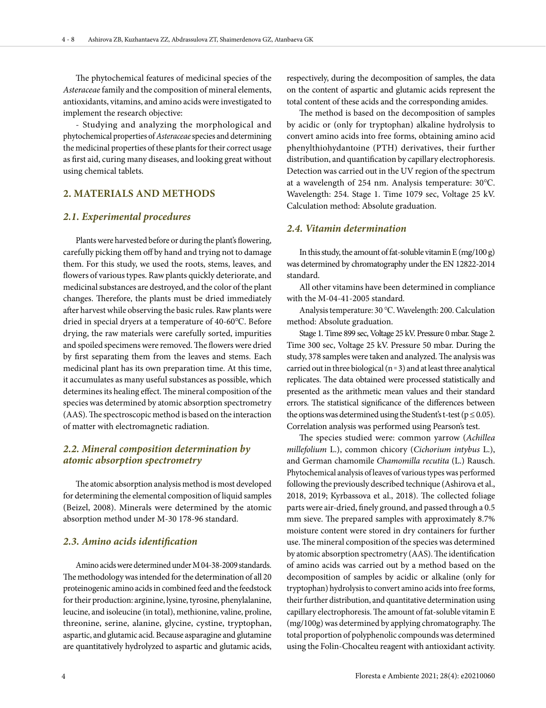The phytochemical features of medicinal species of the *Asteraceae* family and the composition of mineral elements, antioxidants, vitamins, and amino acids were investigated to implement the research objective:

- Studying and analyzing the morphological and phytochemical properties of *Asteraceae* species and determining the medicinal properties of these plants for their correct usage as first aid, curing many diseases, and looking great without using chemical tablets.

# **2. MATERIALS AND METHODS**

### *2.1. Experimental procedures*

Plants were harvested before or during the plant's flowering, carefully picking them off by hand and trying not to damage them. For this study, we used the roots, stems, leaves, and flowers of various types. Raw plants quickly deteriorate, and medicinal substances are destroyed, and the color of the plant changes. Therefore, the plants must be dried immediately after harvest while observing the basic rules. Raw plants were dried in special dryers at a temperature of 40-60℃. Before drying, the raw materials were carefully sorted, impurities and spoiled specimens were removed. The flowers were dried by first separating them from the leaves and stems. Each medicinal plant has its own preparation time. At this time, it accumulates as many useful substances as possible, which determines its healing effect. The mineral composition of the species was determined by atomic absorption spectrometry (AAS). The spectroscopic method is based on the interaction of matter with electromagnetic radiation.

# *2.2. Mineral composition determination by atomic absorption spectrometry*

The atomic absorption analysis method is most developed for determining the elemental composition of liquid samples (Beizel, 2008). Minerals were determined by the atomic absorption method under M-30 178-96 standard.

# *2.3. Amino acids identification*

Amino acids were determined under M 04-38-2009 standards. The methodology was intended for the determination of all 20 proteinogenic amino acids in combined feed and the feedstock for their production: arginine, lysine, tyrosine, phenylalanine, leucine, and isoleucine (in total), methionine, valine, proline, threonine, serine, alanine, glycine, cystine, tryptophan, aspartic, and glutamic acid. Because asparagine and glutamine are quantitatively hydrolyzed to aspartic and glutamic acids,

respectively, during the decomposition of samples, the data on the content of aspartic and glutamic acids represent the total content of these acids and the corresponding amides.

The method is based on the decomposition of samples by acidic or (only for tryptophan) alkaline hydrolysis to convert amino acids into free forms, obtaining amino acid phenylthiohydantoine (PTH) derivatives, their further distribution, and quantification by capillary electrophoresis. Detection was carried out in the UV region of the spectrum at a wavelength of 254 nm. Analysis temperature: 30℃. Wavelength: 254. Stage 1. Time 1079 sec, Voltage 25 kV. Calculation method: Absolute graduation.

### *2.4. Vitamin determination*

In this study, the amount of fat-soluble vitamin  $E(mg/100 g)$ was determined by chromatography under the EN 12822-2014 standard.

All other vitamins have been determined in compliance with the M-04-41-2005 standard.

Analysis temperature: 30 ℃. Wavelength: 200. Calculation method: Absolute graduation.

Stage 1. Time 899 sec, Voltage 25 kV. Pressure 0 mbar. Stage 2. Time 300 sec, Voltage 25 kV. Pressure 50 mbar. During the study, 378 samples were taken and analyzed. The analysis was carried out in three biological ( $n = 3$ ) and at least three analytical replicates. The data obtained were processed statistically and presented as the arithmetic mean values and their standard errors. The statistical significance of the differences between the options was determined using the Student's t-test ( $p \le 0.05$ ). Correlation analysis was performed using Pearson's test.

The species studied were: common yarrow (*Achillea millefolium* L.), common chicory (*Cichorium intybus* L.), and German chamomile *Chamomilla recutita* (L.) Rausch. Phytochemical analysis of leaves of various types was performed following the previously described technique (Ashirova et al., 2018, 2019; Kyrbassova et al., 2018). The collected foliage parts were air-dried, finely ground, and passed through a 0.5 mm sieve. The prepared samples with approximately 8.7% moisture content were stored in dry containers for further use. The mineral composition of the species was determined by atomic absorption spectrometry (AAS). The identification of amino acids was carried out by a method based on the decomposition of samples by acidic or alkaline (only for tryptophan) hydrolysis to convert amino acids into free forms, their further distribution, and quantitative determination using capillary electrophoresis. The amount of fat-soluble vitamin E (mg/100g) was determined by applying chromatography. The total proportion of polyphenolic compounds was determined using the Folin-Chocalteu reagent with antioxidant activity.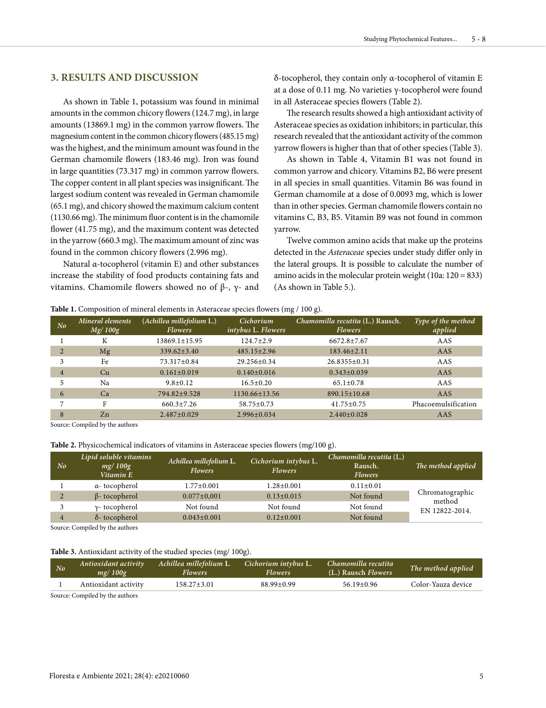### **3. RESULTS AND DISCUSSION**

As shown in Table 1, potassium was found in minimal amounts in the common chicory flowers (124.7 mg), in large amounts (13869.1 mg) in the common yarrow flowers. The magnesium content in the common chicory flowers (485.15 mg) was the highest, and the minimum amount was found in the German chamomile flowers (183.46 mg). Iron was found in large quantities (73.317 mg) in common yarrow flowers. The copper content in all plant species was insignificant. The largest sodium content was revealed in German chamomile (65.1 mg), and chicory showed the maximum calcium content (1130.66 mg). The minimum fluor content is in the chamomile flower (41.75 mg), and the maximum content was detected in the yarrow (660.3 mg). The maximum amount of zinc was found in the common chicory flowers (2.996 mg).

Natural α-tocopherol (vitamin E) and other substances increase the stability of food products containing fats and vitamins. Chamomile flowers showed no of β-, γ- and

δ-tocopherol, they contain only α-tocopherol of vitamin E at a dose of 0.11 mg. No varieties γ-tocopherol were found in all Asteraceae species flowers (Table 2).

The research results showed a high antioxidant activity of Asteraceae species as oxidation inhibitors; in particular, this research revealed that the antioxidant activity of the common yarrow flowers is higher than that of other species (Table 3).

As shown in Table 4, Vitamin В1 was not found in common yarrow and chicory. Vitamins В2, В6 were present in all species in small quantities. Vitamin В6 was found in German chamomile at a dose of 0.0093 mg, which is lower than in other species. German chamomile flowers contain no vitamins C, B3, В5. Vitamin B9 was not found in common yarrow.

Twelve common amino acids that make up the proteins detected in the *Asteraceae* species under study differ only in the lateral groups. It is possible to calculate the number of amino acids in the molecular protein weight (10a: 120 = 833) (As shown in Table 5.).

#### **Table 1.** Composition of mineral elements in Asteraceae species flowers (mg / 100 g).

| No             | Mineral elements<br>Mg/100g | (Achillea millefolium L.)<br><b>Flowers</b> | Cichorium<br>$intybus$ L. Flowers | Chamomilla recutita (L.) Rausch.<br><b>Flowers</b> | Type of the method<br>applied |
|----------------|-----------------------------|---------------------------------------------|-----------------------------------|----------------------------------------------------|-------------------------------|
|                | K                           | 13869.1±15.95                               | $124.7 \pm 2.9$                   | $6672.8 \pm 7.67$                                  | AAS                           |
|                | Mg                          | $339.62 + 3.40$                             | $485.15 \pm 2.96$                 | $183.46 \pm 2.11$                                  | AAS                           |
|                | Fe                          | $73.317 \pm 0.84$                           | $29.256 \pm 0.34$                 | $26.8355 \pm 0.31$                                 | AAS                           |
| $\overline{4}$ | Cu                          | $0.161 \pm 0.019$                           | $0.140 \pm 0.016$                 | $0.343 \pm 0.039$                                  | AAS                           |
|                | Na                          | $9.8 \pm 0.12$                              | $16.5 \pm 0.20$                   | $65.1 \pm 0.78$                                    | AAS                           |
| 6              | Ca                          | 794.82±9.528                                | $1130.66 \pm 13.56$               | $890.15 \pm 10.68$                                 | AAS                           |
|                | F                           | $660.3 \pm 7.26$                            | $58.75 \pm 0.73$                  | $41.75 \pm 0.75$                                   | Phacoemulsification           |
| 8              | Zn                          | $2.487 \pm 0.029$                           | $2.996 \pm 0.034$                 | $2.440 \pm 0.028$                                  | AAS                           |

Source: Compiled by the authors

**Table 2.** Physicochemical indicators of vitamins in Asteraceae species flowers (mg/100 g).

| N <sub>o</sub> | Lipid soluble vitamins<br>mg/100g<br>Vitamin E | Achillea millefolium L.<br><b>Flowers</b> | Cichorium intybus L.<br><b>Flowers</b> | Chamomilla recutita (L.)<br>Rausch.<br><b>Flowers</b> | The method applied        |  |
|----------------|------------------------------------------------|-------------------------------------------|----------------------------------------|-------------------------------------------------------|---------------------------|--|
|                | α-tocopherol                                   | $1.77 \pm 0.001$                          | $1.28 \pm 0.001$                       | $0.11 \pm 0.01$                                       |                           |  |
|                | $\beta$ - tocopherol                           | $0.077 \pm 0.001$                         | $0.13 \pm 0.015$                       | Not found                                             | Chromatographic<br>method |  |
|                | $y$ - tocopherol                               | Not found                                 | Not found                              | Not found                                             | EN 12822-2014.            |  |
|                | $\delta$ - tocopherol                          | $0.043 \pm 0.001$                         | $0.12 \pm 0.001$                       | Not found                                             |                           |  |

Source: Compiled by the authors

#### **Table 3.** Antioxidant activity of the studied species (mg/ 100g).

| N <sub>o</sub> | Antioxidant activity<br>mg/100g | Achillea millefolium L.<br><b>Flowers</b> | Cichorium intybus L.<br><b>Flowers</b> | Chamomilla recutita<br>(L.) Rausch Flowers | The method applied |
|----------------|---------------------------------|-------------------------------------------|----------------------------------------|--------------------------------------------|--------------------|
|                | Antioxidant activity            | $158.27 \pm 3.01$                         | $88.99 \pm 0.99$                       | $56.19 \pm 0.96$                           | Color-Yauza device |
|                |                                 |                                           |                                        |                                            |                    |

Source: Compiled by the authors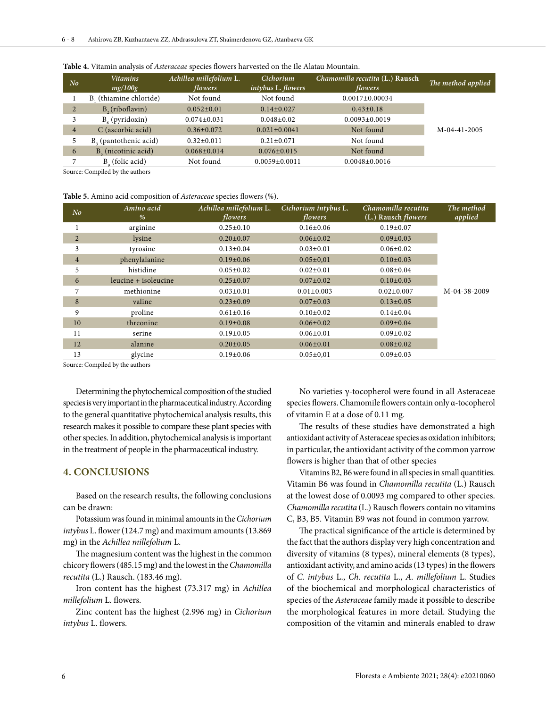| N <sub>o</sub> | <b>Vitamins</b><br>mg/100g      | Achillea millefolium L.<br>flowers | <b>Cichorium</b><br>intybus L. flowers | Chamomilla recutita (L.) Rausch<br>flowers | The method applied |
|----------------|---------------------------------|------------------------------------|----------------------------------------|--------------------------------------------|--------------------|
|                | B, (thiamine chloride)          | Not found                          | Not found                              | $0.0017 \pm 0.00034$                       |                    |
| $\overline{2}$ | $B2$ (riboflavin)               | $0.052 \pm 0.01$                   | $0.14 \pm 0.027$                       | $0.43 \pm 0.18$                            |                    |
|                | $B_{6}$ (pyridoxin)             | $0.074 \pm 0.031$                  | $0.048 \pm 0.02$                       | $0.0093 \pm 0.0019$                        |                    |
| $\overline{4}$ | C (ascorbic acid)               | $0.36 \pm 0.072$                   | $0.021 \pm 0.0041$                     | Not found                                  | M-04-41-2005       |
|                | $B3$ (pantothenic acid)         | $0.32 \pm 0.011$                   | $0.21 \pm 0.071$                       | Not found                                  |                    |
| 6              | B <sub>c</sub> (nicotinic acid) | $0.068 \pm 0.014$                  | $0.076 \pm 0.015$                      | Not found                                  |                    |
|                | $B0$ (folic acid)               | Not found                          | $0.0059 \pm 0.0011$                    | $0.0048 \pm 0.0016$                        |                    |

#### **Table 4.** Vitamin analysis of *Asteraceae* species flowers harvested on the Ile Alatau Mountain.

Source: Compiled by the authors

#### **Table 5.** Amino acid composition of *Asteraceae* species flowers (%).

| No             | Amino acid<br>%      | Achillea millefolium L.<br>flowers | Cichorium intybus L.<br>flowers | Chamomilla recutita<br>(L.) Rausch <i>flowers</i> | The method<br>applied |
|----------------|----------------------|------------------------------------|---------------------------------|---------------------------------------------------|-----------------------|
|                | arginine             | $0.25 \pm 0.10$                    | $0.16 \pm 0.06$                 | $0.19 \pm 0.07$                                   |                       |
| $\overline{2}$ | lysine               | $0.20 \pm 0.07$                    | $0.06 \pm 0.02$                 | $0.09 \pm 0.03$                                   |                       |
| 3              | tyrosine             | $0.13 \pm 0.04$                    | $0.03 \pm 0.01$                 | $0.06 \pm 0.02$                                   |                       |
| $\overline{4}$ | phenylalanine        | $0.19 \pm 0.06$                    | $0.05 \pm 0.01$                 | $0.10 \pm 0.03$                                   |                       |
| 5              | histidine            | $0.05 \pm 0.02$                    | $0.02 \pm 0.01$                 | $0.08 \pm 0.04$                                   |                       |
| 6              | leucine + isoleucine | $0.25 \pm 0.07$                    | $0.07 \pm 0.02$                 | $0.10 \pm 0.03$                                   |                       |
| 7              | methionine           | $0.03 \pm 0.01$                    | $0.01 \pm 0.003$                | $0.02 \pm 0.007$                                  | M-04-38-2009          |
| 8              | valine               | $0.23 \pm 0.09$                    | $0.07 \pm 0.03$                 | $0.13 \pm 0.05$                                   |                       |
| 9              | proline              | $0.61 \pm 0.16$                    | $0.10 \pm 0.02$                 | $0.14 \pm 0.04$                                   |                       |
| 10             | threonine            | $0.19 \pm 0.08$                    | $0.06 \pm 0.02$                 | $0.09 \pm 0.04$                                   |                       |
| 11             | serine               | $0.19 \pm 0.05$                    | $0.06 \pm 0.01$                 | $0.09 \pm 0.02$                                   |                       |
| 12             | alanine              | $0.20 \pm 0.05$                    | $0.06 \pm 0.01$                 | $0.08 \pm 0.02$                                   |                       |
| 13             | glycine              | $0.19 \pm 0.06$                    | $0.05 \pm 0.01$                 | $0.09 \pm 0.03$                                   |                       |

Source: Compiled by the authors

Determining the phytochemical composition of the studied species is very important in the pharmaceutical industry. According to the general quantitative phytochemical analysis results, this research makes it possible to compare these plant species with other species. In addition, phytochemical analysis is important in the treatment of people in the pharmaceutical industry.

### **4. CONCLUSIONS**

Based on the research results, the following conclusions can be drawn:

Potassium was found in minimal amounts in the *Cichorium intybus* L. flower (124.7 mg) and maximum amounts (13.869 mg) in the *Achillea millefolium* L.

The magnesium content was the highest in the common chicory flowers (485.15 mg) and the lowest in the *Chamomilla recutita* (L.) Rausch. (183.46 mg).

Iron content has the highest (73.317 mg) in *Achillea millefolium* L. flowers.

Zinc content has the highest (2.996 mg) in *Cichorium intybus* L. flowers.

No varieties γ-tocopherol were found in all Asteraceae species flowers. Chamomile flowers contain only α-tocopherol of vitamin E at a dose of 0.11 mg.

The results of these studies have demonstrated a high antioxidant activity of Asteraceae species as oxidation inhibitors; in particular, the antioxidant activity of the common yarrow flowers is higher than that of other species

Vitamins В2, В6 were found in all species in small quantities. Vitamin В6 was found in *Chamomilla recutita* (L.) Rausch at the lowest dose of 0.0093 mg compared to other species. *Chamomilla recutita* (L.) Rausch flowers contain no vitamins C, B3, В5. Vitamin B9 was not found in common yarrow.

The practical significance of the article is determined by the fact that the authors display very high concentration and diversity of vitamins (8 types), mineral elements (8 types), antioxidant activity, and amino acids (13 types) in the flowers of *C. intybus* L., *Ch. recutita* L., *A. millefolium* L. Studies of the biochemical and morphological characteristics of species of the *Asteraceae* family made it possible to describe the morphological features in more detail. Studying the composition of the vitamin and minerals enabled to draw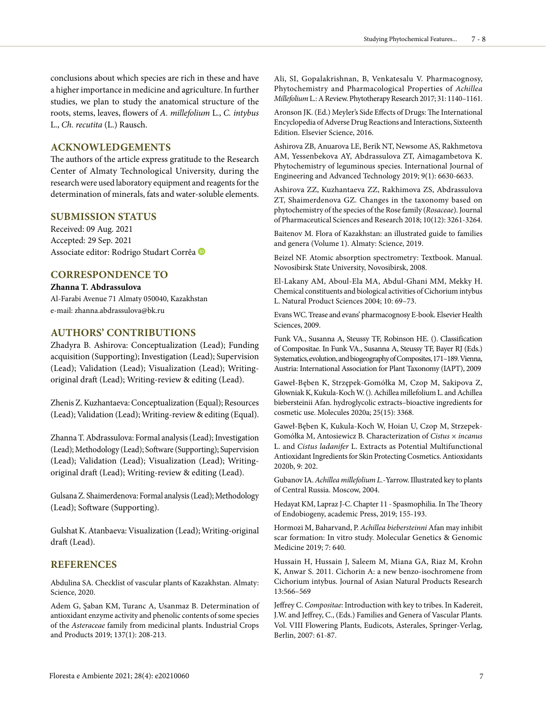conclusions about which species are rich in these and have a higher importance in medicine and agriculture. In further studies, we plan to study the anatomical structure of the roots, stems, leaves, flowers of *A. millefolium* L., *C. intybus*  L., *Ch. recutita* (L.) Rausch.

# **ACKNOWLEDGEMENTS**

The authors of the article express gratitude to the Research Center of Almaty Technological University, during the research were used laboratory equipment and reagents for the determination of minerals, fats and water-soluble elements.

# **SUBMISSION STATUS**

Received: 09 Aug. 2021 Accepted: 29 Sep. 2021 Associate editor: Rodrigo Studart Corrêa

# **CORRESPONDENCE TO**

**Zhanna T. Abdrassulova** Al-Farabi Avenue 71 Almaty 050040, Kazakhstan e-mail: zhanna.abdrassulova@bk.ru

# **AUTHORS' CONTRIBUTIONS**

Zhadyra B. Ashirova: Conceptualization (Lead); Funding acquisition (Supporting); Investigation (Lead); Supervision (Lead); Validation (Lead); Visualization (Lead); Writingoriginal draft (Lead); Writing-review & editing (Lead).

Zhenis Z. Kuzhantaeva: Conceptualization (Equal); Resources (Lead); Validation (Lead); Writing-review & editing (Equal).

Zhanna T. Abdrassulova: Formal analysis (Lead); Investigation (Lead); Methodology (Lead); Software (Supporting); Supervision (Lead); Validation (Lead); Visualization (Lead); Writingoriginal draft (Lead); Writing-review & editing (Lead).

Gulsana Z. Shaimerdenova: Formal analysis (Lead); Methodology (Lead); Software (Supporting).

Gulshat K. Atanbaeva: Visualization (Lead); Writing-original draft (Lead).

### **REFERENCES**

Abdulina SA. Checklist of vascular plants of Kazakhstan. Almaty: Science, 2020.

Adem G, Şaban KM, Turanc А, Usanmaz B. Determination of antioxidant enzyme activity and phenolic contents of some species of the *Asteraceae* family from medicinal plants. Industrial Crops and Products 2019; 137(1): 208-213.

Ali, SI, Gopalakrishnan, B, Venkatesalu V. Pharmacognosy, Phytochemistry and Pharmacological Properties of *Achillea Millefolium* L.: A Review. Phytotherapy Research 2017; 31: 1140–1161.

Aronson JK. (Ed.) Meyler's Side Effects of Drugs: The International Encyclopedia of Adverse Drug Reactions and Interactions, Sixteenth Edition. Elsevier Science, 2016.

Ashirova ZB, Anuarova LЕ, Berik NТ, Newsome AS, Rakhmetova AM, Yessenbekova AY, Abdrassulova ZT, Aimagambetova K. Phytochemistry of leguminous species. International Journal of Engineering and Advanced Technology 2019; 9(1): 6630-6633.

Ashirova ZZ, Kuzhantaeva ZZ, Rakhimova ZS, Abdrassulova ZT, Shaimerdenova GZ. Changes in the taxonomy based on phytochemistry of the species of the Rose family (*Rosaceae*). Journal of Pharmaceutical Sciences and Research 2018; 10(12): 3261-3264.

Baitenov M. Flora of Kazakhstan: an illustrated guide to families and genera (Volume 1). Almaty: Science, 2019.

Beizel NF. Atomic absorption spectrometry: Textbook. Manual. Novosibirsk State University, Novosibirsk, 2008.

El-Lakany AM, Aboul-Ela MA, Abdul-Ghani MM, Mekky H. Chemical constituents and biological activities of Cichorium intybus L. Natural Product Sciences 2004; 10: 69–73.

Evans WC. Trease and evans' pharmacognosy E-book. Elsevier Health Sciences, 2009.

Funk VA., Susanna A, Steussy TF, Robinson HE. (). Classification of Compositae. In Funk VA., Susanna A, Steussy TF, Bayer RJ (Eds.) Systematics, evolution, and biogeography of Composites, 171–189. Vienna, Austria: International Association for Plant Taxonomy (IAPT), 2009

Gaweł-Bęben K, Strzępek-Gomółka M, Czop M, Sakipova Z, Głowniak K, Kukula-Koch W. (). Achillea millefolium L. and Achillea biebersteinii Afan. hydroglycolic extracts–bioactive ingredients for cosmetic use. Molecules 2020a; 25(15): 3368.

Gaweł-Bęben K, Kukula-Koch W, Hoian U, Czop M, Strzepek-Gomółka M, Antosiewicz B. Characterization of *Cistus × incanus* L. and *Cistus ladanifer* L. Extracts as Potential Multifunctional Antioxidant Ingredients for Skin Protecting Cosmetics. Antioxidants 2020b, 9: 202.

Gubanov IA. *Achillea millefolium L.*-Yarrow. Illustrated key to plants of Central Russia. Moscow, 2004.

Hedayat KM, Lapraz J-C. Chapter 11 - Spasmophilia*.* In The Theory of Endobiogeny, academic Press, 2019; 155-193.

Hormozi M, Baharvand, P. *Achillea biebersteinni* Afan may inhibit scar formation: In vitro study. Molecular Genetics & Genomic Medicine 2019; 7: 640.

Hussain H, Hussain J, Saleem M, Miana GA, Riaz M, Krohn K, Anwar S. 2011. Cichorin A: a new benzo-isochromene from Cichorium intybus. Journal of Asian Natural Products Research 13:566–569

Jeffrey C. *Compositae*: Introduction with key to tribes. In Kadereit, J.W. and Jeffrey, C., (Eds.) Families and Genera of Vascular Plants. Vol. VIII Flowering Plants, Eudicots, Asterales, Springer-Verlag, Berlin, 2007: 61-87.